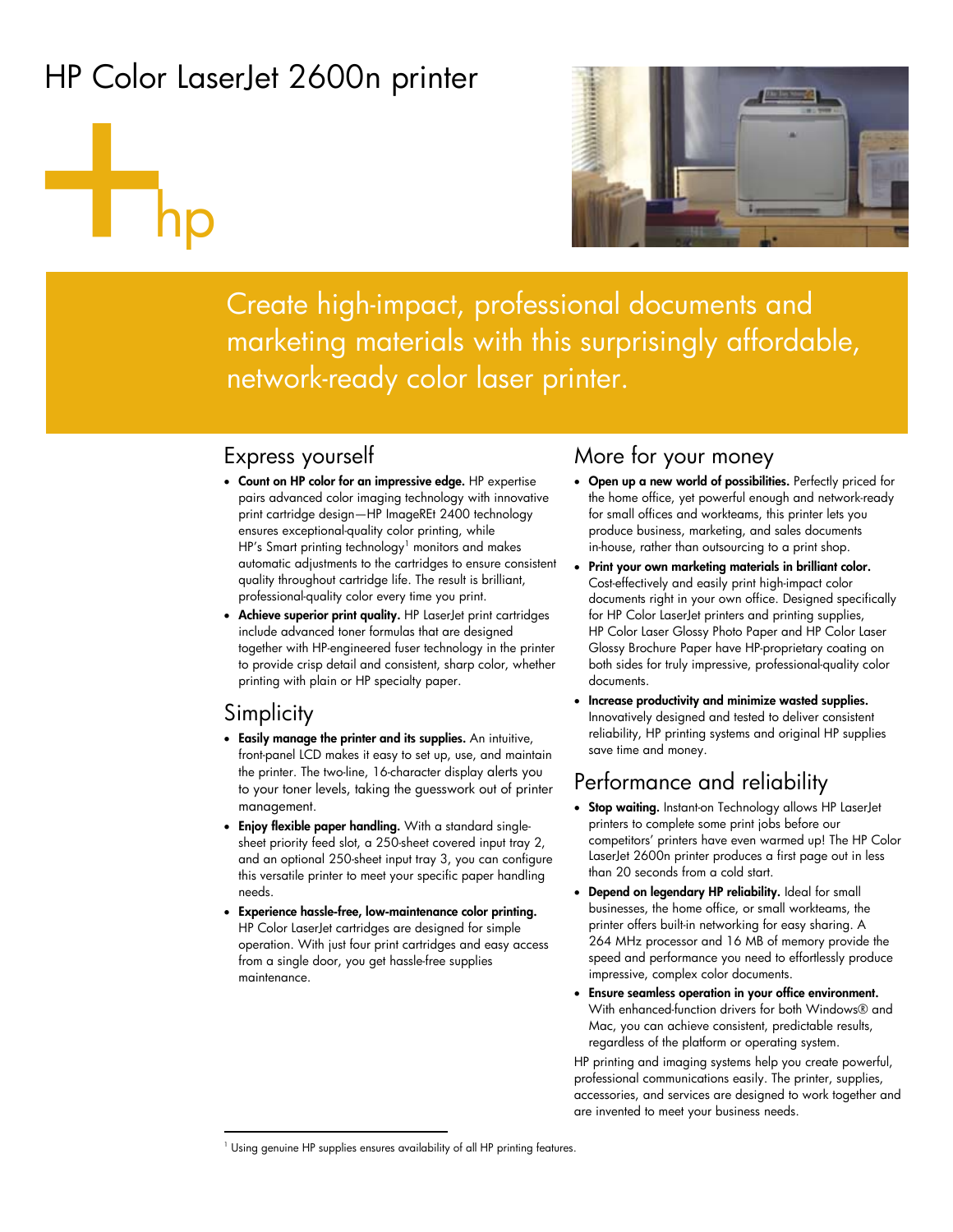# HP Color LaserJet 2600n printer

# hp



Create high-impact, professional documents and marketing materials with this surprisingly affordable, network-ready color laser printer.

## Express yourself

- **Count on HP color for an impressive edge.** HP expertise pairs advanced color imaging technology with innovative print cartridge design—HP ImageREt 2400 technology ensures exceptional-quality color printing, while HP's Smart printing technology<sup>1</sup> monitors and makes automatic adjustments to the cartridges to ensure consistent quality throughout cartridge life. The result is brilliant, professional-quality color every time you print.
- **Achieve superior print quality.** HP LaserJet print cartridges include advanced toner formulas that are designed together with HP-engineered fuser technology in the printer to provide crisp detail and consistent, sharp color, whether printing with plain or HP specialty paper.

### **Simplicity**

 $\overline{a}$ 

- **Easily manage the printer and its supplies.** An intuitive, front-panel LCD makes it easy to set up, use, and maintain the printer. The two-line, 16-character display alerts you to your toner levels, taking the guesswork out of printer management.
- **Enjoy flexible paper handling.** With a standard singlesheet priority feed slot, a 250-sheet covered input tray 2, and an optional 250-sheet input tray 3, you can configure this versatile printer to meet your specific paper handling needs.
- **Experience hassle-free, low-maintenance color printing.**  HP Color LaserJet cartridges are designed for simple operation. With just four print cartridges and easy access from a single door, you get hassle-free supplies maintenance.

## More for your money

- **Open up a new world of possibilities.** Perfectly priced for the home office, yet powerful enough and network-ready for small offices and workteams, this printer lets you produce business, marketing, and sales documents in-house, rather than outsourcing to a print shop.
- **Print your own marketing materials in brilliant color.**  Cost-effectively and easily print high-impact color documents right in your own office. Designed specifically for HP Color LaserJet printers and printing supplies, HP Color Laser Glossy Photo Paper and HP Color Laser Glossy Brochure Paper have HP-proprietary coating on both sides for truly impressive, professional-quality color documents.
- **Increase productivity and minimize wasted supplies.**  Innovatively designed and tested to deliver consistent reliability, HP printing systems and original HP supplies save time and money.

## Performance and reliability

- **Stop waiting.** Instant-on Technology allows HP LaserJet printers to complete some print jobs before our competitors' printers have even warmed up! The HP Color LaserJet 2600n printer produces a first page out in less than 20 seconds from a cold start.
- **Depend on legendary HP reliability.** Ideal for small businesses, the home office, or small workteams, the printer offers built-in networking for easy sharing. A 264 MHz processor and 16 MB of memory provide the speed and performance you need to effortlessly produce impressive, complex color documents.
- **Ensure seamless operation in your office environment.**  With enhanced-function drivers for both Windows® and Mac, you can achieve consistent, predictable results, regardless of the platform or operating system.

HP printing and imaging systems help you create powerful, professional communications easily. The printer, supplies, accessories, and services are designed to work together and are invented to meet your business needs.

<sup>&</sup>lt;sup>1</sup> Using genuine HP supplies ensures availability of all HP printing features.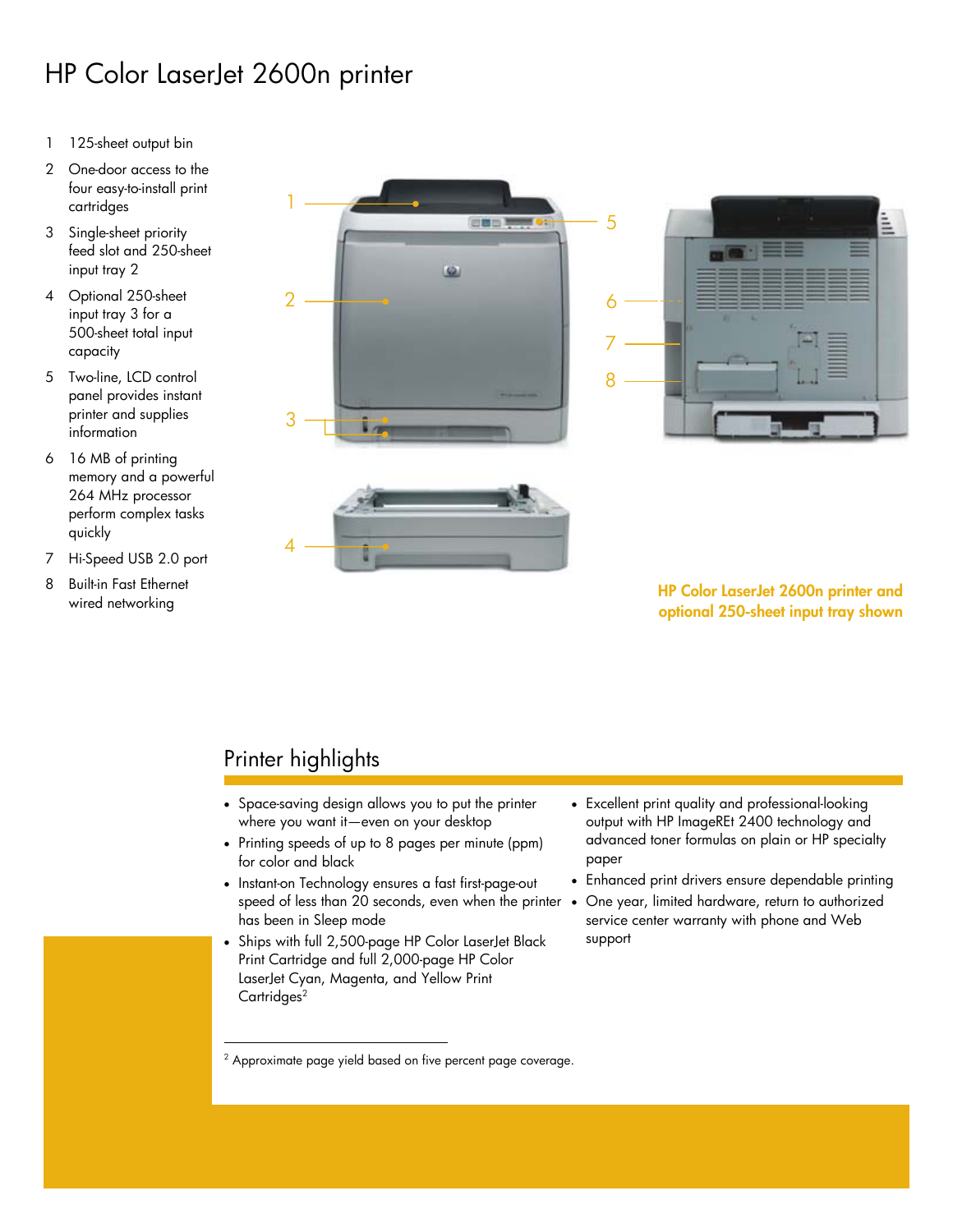# HP Color LaserJet 2600n printer

- 1 125-sheet output bin
- 2 One-door access to the four easy-to-install print cartridges
- 3 Single-sheet priority feed slot and 250-sheet input tray 2
- 4 Optional 250-sheet input tray 3 for a 500-sheet total input capacity
- 5 Two-line, LCD control panel provides instant printer and supplies information
- 6 16 MB of printing memory and a powerful 264 MHz processor perform complex tasks quickly
- 7 Hi-Speed USB 2.0 port
- 8 Built-in Fast Ethernet



wired networking **HP Color LaserJet 2600n printer and optional 250-sheet input tray shown**

# Printer highlights

 $\overline{a}$ 

- Space-saving design allows you to put the printer where you want it—even on your desktop
- Printing speeds of up to 8 pages per minute (ppm) for color and black
- Instant-on Technology ensures a fast first-page-out speed of less than 20 seconds, even when the printer . has been in Sleep mode
- Ships with full 2,500-page HP Color LaserJet Black Print Cartridge and full 2,000-page HP Color LaserJet Cyan, Magenta, and Yellow Print Cartridges<sup>2</sup>
- Excellent print quality and professional-looking output with HP ImageREt 2400 technology and advanced toner formulas on plain or HP specialty paper
- Enhanced print drivers ensure dependable printing
- One year, limited hardware, return to authorized service center warranty with phone and Web support

<sup>2</sup> Approximate page yield based on five percent page coverage.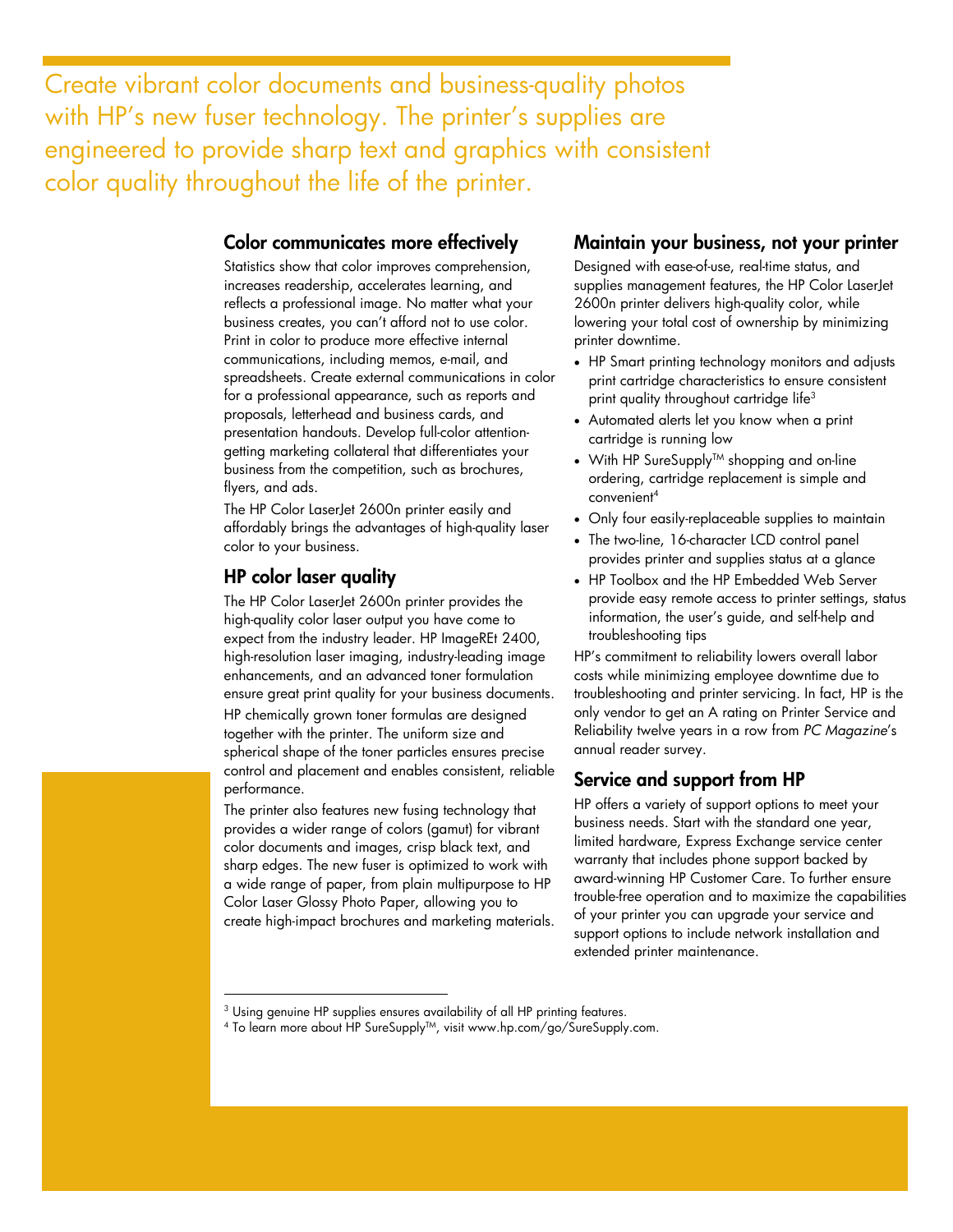Create vibrant color documents and business-quality photos with HP's new fuser technology. The printer's supplies are engineered to provide sharp text and graphics with consistent color quality throughout the life of the printer.

#### **Color communicates more effectively**

Statistics show that color improves comprehension, increases readership, accelerates learning, and reflects a professional image. No matter what your business creates, you can't afford not to use color. Print in color to produce more effective internal communications, including memos, e-mail, and spreadsheets. Create external communications in color for a professional appearance, such as reports and proposals, letterhead and business cards, and presentation handouts. Develop full-color attentiongetting marketing collateral that differentiates your business from the competition, such as brochures, flyers, and ads.

The HP Color LaserJet 2600n printer easily and affordably brings the advantages of high-quality laser color to your business.

#### **HP color laser quality**

 $\overline{a}$ 

The HP Color LaserJet 2600n printer provides the high-quality color laser output you have come to expect from the industry leader. HP ImageREt 2400, high-resolution laser imaging, industry-leading image enhancements, and an advanced toner formulation ensure great print quality for your business documents. HP chemically grown toner formulas are designed together with the printer. The uniform size and spherical shape of the toner particles ensures precise control and placement and enables consistent, reliable performance.

The printer also features new fusing technology that provides a wider range of colors (gamut) for vibrant color documents and images, crisp black text, and sharp edges. The new fuser is optimized to work with a wide range of paper, from plain multipurpose to HP Color Laser Glossy Photo Paper, allowing you to create high-impact brochures and marketing materials.

#### **Maintain your business, not your printer**

Designed with ease-of-use, real-time status, and supplies management features, the HP Color LaserJet 2600n printer delivers high-quality color, while lowering your total cost of ownership by minimizing printer downtime.

- HP Smart printing technology monitors and adjusts print cartridge characteristics to ensure consistent print quality throughout cartridge life<sup>3</sup>
- Automated alerts let you know when a print cartridge is running low
- With HP SureSupply<sup>TM</sup> shopping and on-line ordering, cartridge replacement is simple and convenient4
- Only four easily-replaceable supplies to maintain
- The two-line, 16-character LCD control panel provides printer and supplies status at a glance
- HP Toolbox and the HP Embedded Web Server provide easy remote access to printer settings, status information, the user's guide, and self-help and troubleshooting tips

HP's commitment to reliability lowers overall labor costs while minimizing employee downtime due to troubleshooting and printer servicing. In fact, HP is the only vendor to get an A rating on Printer Service and Reliability twelve years in a row from *PC Magazine*'s annual reader survey.

#### **Service and support from HP**

HP offers a variety of support options to meet your business needs. Start with the standard one year, limited hardware, Express Exchange service center warranty that includes phone support backed by award-winning HP Customer Care. To further ensure trouble-free operation and to maximize the capabilities of your printer you can upgrade your service and support options to include network installation and extended printer maintenance.

<sup>&</sup>lt;sup>3</sup> Using genuine HP supplies ensures availability of all HP printing features.<br><sup>4</sup> To learn more about HP SureSupply™, visit www.hp.com/go/SureSupply.com.